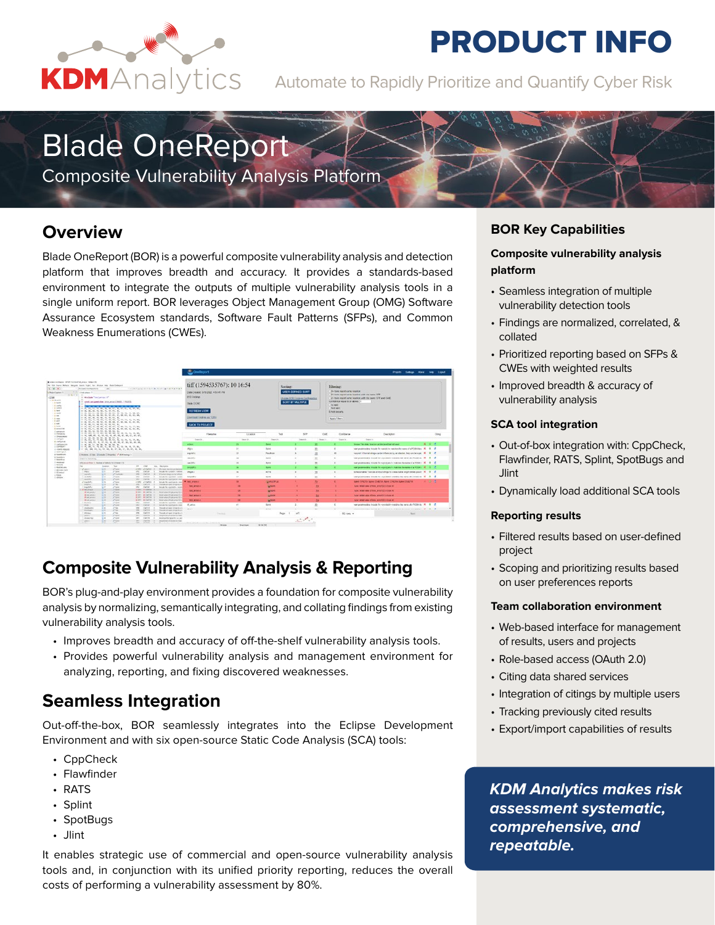

# **PRODUCT INFO**

KDMAnalytics Automate to Rapidly Prioritize and Quantify Cyber Risk

# Blade OneReport

Composite Vulnerability Analysis Platform

## **Overview**

Blade OneReport (BOR) is a powerful composite vulnerability analysis and detection platform that improves breadth and accuracy. It provides a standards-based environment to integrate the outputs of multiple vulnerability analysis tools in a single uniform report. BOR leverages Object Management Group (OMG) Software Assurance Ecosystem standards, Software Fault Patterns (SFPs), and Common Weakness Enumerations (CWEs).



## **Composite Vulnerability Analysis & Reporting**

BOR's plug-and-play environment provides a foundation for composite vulnerability analysis by normalizing, semantically integrating, and collating findings from existing vulnerability analysis tools.

- Improves breadth and accuracy of off-the-shelf vulnerability analysis tools.
- Provides powerful vulnerability analysis and management environment for analyzing, reporting, and fixing discovered weaknesses.

## **Seamless Integration**

Out-off-the-box, BOR seamlessly integrates into the Eclipse Development Environment and with six open-source Static Code Analysis (SCA) tools:

- CppCheck
- Flawfinder
- RATS
- Splint
- SpotBugs
- Jlint

It enables strategic use of commercial and open-source vulnerability analysis tools and, in conjunction with its unified priority reporting, reduces the overall costs of performing a vulnerability assessment by 80%.

### **BOR Key Capabilities**

### **Composite vulnerability analysis platform**

- Seamless integration of multiple vulnerability detection tools
- Findings are normalized, correlated, & collated
- Prioritized reporting based on SFPs & CWEs with weighted results
- Improved breadth & accuracy of vulnerability analysis

#### **SCA tool integration**

- Out-of-box integration with: CppCheck, Flawfinder, RATS, Splint, SpotBugs and **Jlint**
- Dynamically load additional SCA tools

#### **Reporting results**

- Filtered results based on user-defined project
- Scoping and prioritizing results based on user preferences reports

#### **Team collaboration environment**

- Web-based interface for management of results, users and projects
- Role-based access (OAuth 2.0)
- Citing data shared services
- Integration of citings by multiple users
- Tracking previously cited results
- Export/import capabilities of results

*KDM Analytics makes risk assessment systematic, comprehensive, and repeatable.*